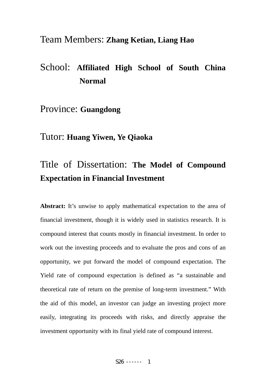# Team Members: **Zhang Ketian, Liang Hao**

# School: **Affiliated High School of South China Normal**

# Province: **Guangdong**

# Tutor: **Huang Yiwen, Ye Qiaoka**

# Title of Dissertation: **The Model of Compound Expectation in Financial Investment**

**Abstract:** It's unwise to apply mathematical expectation to the area of financial investment, though it is widely used in statistics research. It is compound interest that counts mostly in financial investment. In order to work out the investing proceeds and to evaluate the pros and cons of an opportunity, we put forward the model of compound expectation. The Yield rate of compound expectation is defined as "a sustainable and theoretical rate of return on the premise of long-term investment." With the aid of this model, an investor can judge an investing project more easily, integrating its proceeds with risks, and directly appraise the investment opportunity with its final yield rate of compound interest.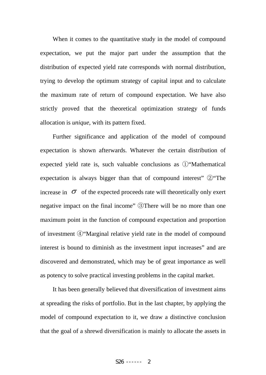When it comes to the quantitative study in the model of compound expectation, we put the major part under the assumption that the distribution of expected yield rate corresponds with normal distribution, trying to develop the optimum strategy of capital input and to calculate the maximum rate of return of compound expectation. We have also strictly proved that the theoretical optimization strategy of funds allocation is *unique*, with its pattern fixed.

Further significance and application of the model of compound expectation is shown afterwards. Whatever the certain distribution of expected yield rate is, such valuable conclusions as ①"Mathematical expectation is always bigger than that of compound interest" ②"The increase in  $\sigma$  of the expected proceeds rate will theoretically only exert negative impact on the final income" ③There will be no more than one maximum point in the function of compound expectation and proportion of investment ④"Marginal relative yield rate in the model of compound interest is bound to diminish as the investment input increases" and are discovered and demonstrated, which may be of great importance as well as potency to solve practical investing problems in the capital market.

It has been generally believed that diversification of investment aims at spreading the risks of portfolio. But in the last chapter, by applying the model of compound expectation to it, we draw a distinctive conclusion that the goal of a shrewd diversification is mainly to allocate the assets in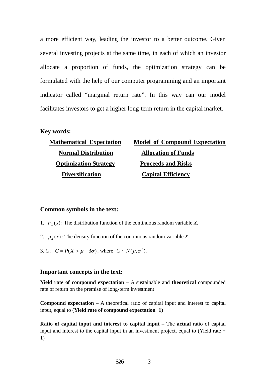a more efficient way, leading the investor to a better outcome. Given several investing projects at the same time, in each of which an investor allocate a proportion of funds, the optimization strategy can be formulated with the help of our computer programming and an important indicator called "marginal return rate". In this way can our model facilitates investors to get a higher long-term return in the capital market.

### **Key words:**

| <b>Mathematical Expectation</b> | <b>Model of Compound Expectation</b> |
|---------------------------------|--------------------------------------|
| <b>Normal Distribution</b>      | <b>Allocation of Funds</b>           |
| <b>Optimization Strategy</b>    | <b>Proceeds and Risks</b>            |
| <b>Diversification</b>          | <b>Capital Efficiency</b>            |

# **Common symbols in the text:**

- 1.  $F<sub>x</sub>(x)$ : The distribution function of the continuous random variable *X*.
- 2.  $p_x(x)$ : The density function of the continuous random variable *X*.
- 3. *C*:  $C = P(X > \mu 3\sigma)$ , where  $C \sim N(\mu, \sigma^2)$ .

# **Important concepts in the text:**

**Yield rate of compound expectation** – A sustainable and **theoretical** compounded rate of return on the premise of long-term investment

**Compound expectation** – A theoretical ratio of capital input and interest to capital input, equal to (**Yield rate of compound expectation+1**)

**Ratio of capital input and interest to capital input – The actual ratio of capital** input and interest to the capital input in an investment project, equal to (Yield rate + 1)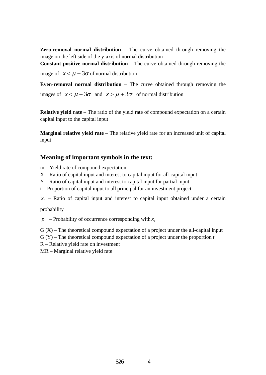**Zero-removal normal distribution** – The curve obtained through removing the image on the left side of the y-axis of normal distribution

**Constant-positive normal distribution** – The curve obtained through removing the

image of  $x < \mu - 3\sigma$  of normal distribution

**Even-removal normal distribution** – The curve obtained through removing the images of  $x < \mu - 3\sigma$  and  $x > \mu + 3\sigma$  of normal distribution

**Relative yield rate** – The ratio of the yield rate of compound expectation on a certain capital input to the capital input

**Marginal relative yield rate** – The relative yield rate for an increased unit of capital input

# **Meaning of important symbols in the text:**

m – Yield rate of compound expectation

- X Ratio of capital input and interest to capital input for all-capital input
- Y Ratio of capital input and interest to capital input for partial input
- t Proportion of capital input to all principal for an investment project

 $x_i$  – Ratio of capital input and interest to capital input obtained under a certain

probability

 $p_i$  – Probability of occurrence corresponding with  $x_i$ 

 $G(X)$  – The theoretical compound expectation of a project under the all-capital input

G (Y) – The theoretical compound expectation of a project under the proportion *t*

R – Relative yield rate on investment

MR – Marginal relative yield rate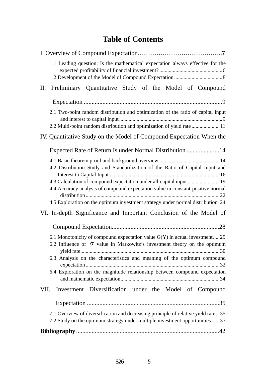# **Table of Contents**

| 1.1 Leading question: Is the mathematical expectation always effective for the                                                                                                                                                                                                                                           |
|--------------------------------------------------------------------------------------------------------------------------------------------------------------------------------------------------------------------------------------------------------------------------------------------------------------------------|
| Preliminary Quantitative Study of the Model of Compound<br>П.                                                                                                                                                                                                                                                            |
|                                                                                                                                                                                                                                                                                                                          |
| 2.1 Two-point random distribution and optimization of the ratio of capital input<br>2.2 Multi-point random distribution and optimization of yield rate  11                                                                                                                                                               |
| IV. Quantitative Study on the Model of Compound Expectation When the                                                                                                                                                                                                                                                     |
| Expected Rate of Return Is under Normal Distribution 14                                                                                                                                                                                                                                                                  |
| 4.2 Distribution Study and Standardization of the Ratio of Capital Input and<br>4.4 Accuracy analysis of compound expectation value in constant-positive normal<br>4.5 Exploration on the optimum investment strategy under normal distribution.24                                                                       |
| VI. In-depth Significance and Important Conclusion of the Model of                                                                                                                                                                                                                                                       |
|                                                                                                                                                                                                                                                                                                                          |
| 6.1 Monotonicity of compound expectation value $G(Y)$ in actual investment29<br>6.2 Influence of $\sigma$ value in Markowitz's investment theory on the optimum<br>6.3 Analysis on the characteristics and meaning of the optimum compound<br>6.4 Exploration on the magnitude relationship between compound expectation |
| Investment Diversification under the Model of Compound<br>VII.                                                                                                                                                                                                                                                           |
|                                                                                                                                                                                                                                                                                                                          |
| 7.1 Overview of diversification and decreasing principle of relative yield rate35<br>7.2 Study on the optimum strategy under multiple investment opportunities 37                                                                                                                                                        |
|                                                                                                                                                                                                                                                                                                                          |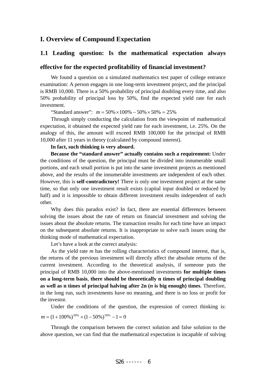# **I. Overview of Compound Expectation**

# **1.1 Leading question: Is the mathematical expectation always**

#### **effective for the expected profitability of financial investment?**

We found a question on a simulated mathematics test paper of college entrance examination: A person engages in one long-term investment project, and the principal is RMB 10,000. There is a 50% probability of principal doubling every time, and also 50% probability of principal loss by 50%, find the expected yield rate for each investment.

"Standard answer":  $m = 50\% \times 100\% - 50\% \times 50\% = 25\%$ 

Through simply conducting the calculation from the viewpoint of mathematical expectation, it obtained the expected yield rate for each investment, i.e. 25%. On the analogy of this, the amount will exceed RMB 100,000 for the principal of RMB 10,000 after 11 years in theory (calculated by compound interest).

#### **In fact, such thinking is very absurd.**

**Because the "standard answer" actually contains such a requirement:** Under the conditions of the question, the principal must be divided into innumerable small portions, and each small portion is put into the same investment projects as mentioned above, and the results of the innumerable investments are independent of each other. However, this is **self-contradictory!** There is only one investment project at the same time, so that only one investment result exists (capital input doubled or reduced by half) and it is impossible to obtain different investment results independent of each other.

Why does this paradox exist? In fact, there are essential differences between solving the issues about the rate of return on financial investment and solving the issues about the absolute returns. The transaction results for each time have an impact on the subsequent absolute returns. It is inappropriate to solve such issues using the thinking mode of mathematical expectation.

Let's have a look at the correct analysis:

As the yield rate *m* has the rolling characteristics of compound interest, that is, the returns of the previous investment will directly affect the absolute returns of the current investment. According to the theoretical analysis, if someone puts the principal of RMB 10,000 into the above-mentioned investments **for multiple times on a long-term basis**, **there should be theoretically n times of principal doubling as well as n times of principal halving after 2n (***n* **is big enough) times**. Therefore, in the long run, such investments have no meaning, and there is no loss or profit for the investor.

Under the conditions of the question, the expression of correct thinking is:  $m = (1 + 100\%)^{50\%} \times (1 - 50\%)^{50\%} - 1 = 0$ 

Through the comparison between the correct solution and false solution to the above question, we can find that the mathematical expectation is incapable of solving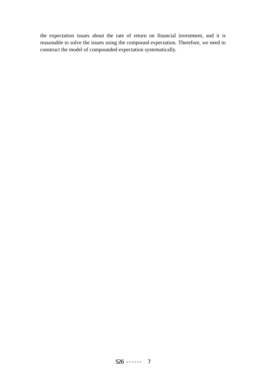the expectation issues about the rate of return on financial investment, and it is reasonable to solve the issues using the compound expectation. Therefore, we need to construct the model of compounded expectation systematically.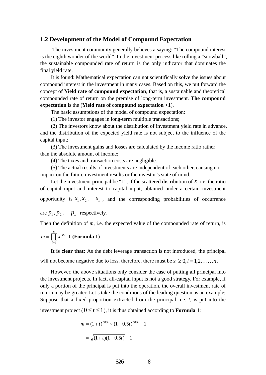#### **1.2 Development of the Model of Compound Expectation**

The investment community generally believes a saying: "The compound interest is the eighth wonder of the world". In the investment process like rolling a "snowball", the sustainable compounded rate of return is the only indicator that dominates the final yield rate.

It is found: Mathematical expectation can not scientifically solve the issues about compound interest in the investment in many cases. Based on this, we put forward the concept of **Yield rate of compound expectation**, that is, a sustainable and theoretical compounded rate of return on the premise of long-term investment. **The compound expectation** is the (**Yield rate of compound expectation +1**).

The basic assumptions of the model of compound expectation:

(1) The investor engages in long-term multiple transactions;

(2) The investors know about the distribution of investment yield rate in advance, and the distribution of the expected yield rate is not subject to the influence of the capital input;

 (3) The investment gains and losses are calculated by the income ratio rather than the absolute amount of income;

(4) The taxes and transaction costs are negligible.

 (5) The actual results of investments are independent of each other, causing no impact on the future investment results or the investor's state of mind.

Let the investment principal be "1", if the scattered distribution of *X,* i.e. the ratio of capital input and interest to capital input, obtained under a certain investment opportunity is  $x_1, x_2, \ldots, x_n$ , and the corresponding probabilities of occurrence

are  $p_1, p_2, \ldots, p_n$  respectively.

Then the definition of *m*, i.e. the expected value of the compounded rate of return, is

$$
m = \prod_{i=1}^{n} x_i^{p_i} - 1
$$
 (Formula 1)

**It is clear that:** As the debt leverage transaction is not introduced, the principal will not become negative due to loss, therefore, there must be  $x_i \geq 0, i = 1,2,\ldots,n$ .

However, the above situations only consider the case of putting all principal into the investment projects. In fact, all-capital input is not a good strategy. For example, if only a portion of the principal is put into the operation, the overall investment rate of return may be greater. Let's take the conditions of the leading question as an example: Suppose that a fixed proportion extracted from the principal, i.e. *t*, is put into the investment project ( $0 \le t \le 1$ ), it is thus obtained according to **Formula 1**:

$$
m' = (1+t)^{50\%} \times (1-0.5t)^{50\%} - 1
$$

$$
= \sqrt{(1+t)(1-0.5t)} - 1
$$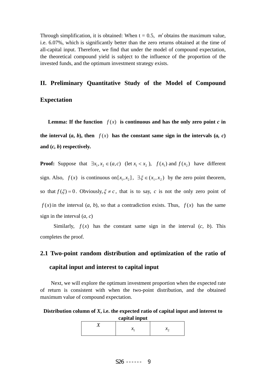Through simplification, it is obtained: When  $t = 0.5$ ,  $m'$  obtains the maximum value, i.e. 6.07%, which is significantly better than the zero returns obtained at the time of all-capital input. Therefore, we find that under the model of compound expectation, the theoretical compound yield is subject to the influence of the proportion of the invested funds, and the optimum investment strategy exists.

#### **II. Preliminary Quantitative Study of the Model of Compound**

#### **Expectation**

**Lemma:** If the function  $f(x)$  is continuous and has the only zero point *c* in

the interval  $(a, b)$ , then  $f(x)$  has the constant same sign in the intervals  $(a, c)$ **and (***c, b***) respectively.** 

**Proof:** Suppose that  $\exists x_1, x_2 \in (a, c)$  (let  $x_1 < x_2$ ),  $f(x_1)$  and  $f(x_2)$  have different sign. Also,  $f(x)$  is continuous on  $[x_1, x_2]$ ,  $\exists \xi \in (x_1, x_2)$  by the zero point theorem, so that  $f(\xi) = 0$ . Obviously,  $\xi \neq c$ , that is to say, *c* is not the only zero point of  $f(x)$  in the interval  $(a, b)$ , so that a contradiction exists. Thus,  $f(x)$  has the same sign in the interval (*a, c*)

Similarly,  $f(x)$  has the constant same sign in the interval  $(c, b)$ . This completes the proof.

# **2.1 Two-point random distribution and optimization of the ratio of capital input and interest to capital input**

Next, we will explore the optimum investment proportion when the expected rate of return is consistent with when the two-point distribution, and the obtained maximum value of compound expectation.

#### **Distribution column of** *X***, i.e. the expected ratio of capital input and interest to capital input**

| -- |  | $\mathcal{N}$ |
|----|--|---------------|
|----|--|---------------|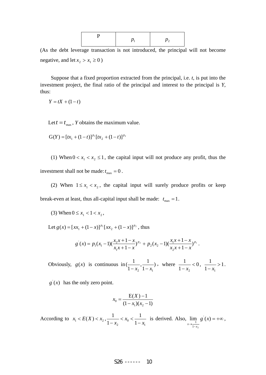(As the debt leverage transaction is not introduced, the principal will not become negative, and let  $x_2 > x_1 \ge 0$ )

Suppose that a fixed proportion extracted from the principal, i.e. *t*, is put into the investment project, the final ratio of the principal and interest to the principal is *Y*, thus:

$$
Y = tX + (1 - t)
$$

Let  $t = t_{max}$ , *Y* obtains the maximum value.

$$
G(Y) = [tx_1 + (1-t)]^{p_1} [tx_2 + (1-t)]^{p_2}
$$

(1) When  $0 < x_1 < x_2 \le 1$ , the capital input will not produce any profit, thus the investment shall not be made:  $t_{\text{max}} = 0$ .

(2) When  $1 \le x_1 < x_2$ , the capital input will surely produce profits or keep break-even at least, thus all-capital input shall be made:  $t_{\text{max}} = 1$ .

(3) When 
$$
0 \le x_1 < 1 < x_2
$$
,

Let  $g(x) = [xx_1 + (1-x)]^{p_1} [xx_2 + (1-x)]^{p_2}$ , thus

$$
g'(x) = p_1(x_1-1)\left(\frac{x_2x+1-x}{x_1x+1-x}\right)^{p_2} + p_2(x_2-1)\left(\frac{x_1x+1-x}{x_2x+1-x}\right)^{p_1}.
$$

Obviously,  $g(x)$  is continuous in  $\left(\frac{1}{1-x_2}, \frac{1}{1-x_1}\right)$ , where  $\frac{1}{1-x_2} < 0$ 1  $\frac{1}{-x_2}$  < 0,  $\frac{1}{1-x_1}$  > 1 1  $\frac{1}{-x_1} > 1$ .

 $g(x)$  has the only zero point.

$$
x_0 = \frac{E(X) - 1}{(1 - x_1)(x_2 - 1)}
$$

According to  $x_1 < E(X) < x_2$ , 1  $\frac{1}{2}$   $\sim \frac{\lambda_0}{1}$ 1 1 1 *x*  $\frac{1}{x-x_2}$  <  $x_0$  <  $\frac{1}{1-x_1}$  is derived. Also,  $\lim_{x \to \frac{1}{1-x_2}} g'(x) = +\infty$  $\lim g(x)$ 1 1 2 *xg*  $x \rightarrow \frac{1}{1-x}$ ,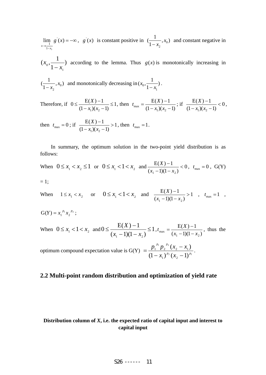= –∞  $\rightarrow \frac{1}{1}$  $\lim g(x)$ 1 1 1 *xg*  $x \rightarrow \frac{1}{1-x}$  $, g'(x)$  is constant positive in  $\left(\frac{1}{1-x_2}, x_0\right)$  $\frac{1}{x_2 - x_2}$ , *x*<sub>0</sub>) and constant negative in

 $\frac{1}{1-x_1}$  $(x_0, \frac{1}{1-x_1})$  according to the lemma. Thus  $g(x)$  is monotonically increasing in 1

$$
(\frac{1}{1-x_2}, x_0) \text{ and monotonically decreasing in } (x_0, \frac{1}{1-x_1}).
$$

Therefore, if  $0 \leq \frac{L(A) - 1}{L(A)} \leq 1$  $(1-x_1)(x_2-1)$  $0 \leq \frac{E(X)-1}{\sqrt{2}}$  $\leq$   $\frac{E(X)-1}{(1-x_1)(x_2-1)} \leq$  $\frac{X(X)-1}{X_1(X_2-1)} \le 1$ , then  $t_{\max} = \frac{E(X)-1}{(1-x_1)(x_2-1)}$  $t_{\text{max}} = \frac{E(X) - 1}{(1 - x_1)(x_2 - 1)}$ ; if  $\frac{E(X) - 1}{(1 - x_1)(x_2 - 1)} < 0$  $(1-x_1)(x_2-1)$  $E(X)-1$  $\frac{E(X)-1}{-x_1(x_2-1)}$  $x_1(x)$  $\frac{X}{\sqrt{1-x}} < 0,$ 

then  $t_{\text{max}} = 0$ ; if  $\frac{L(X)^{-1}}{(1 - x_1)(x_2 - 1)} > 1$  $E(X)-1$  $\frac{E(X)-1}{-x_1(x_2-1)}$  $\frac{(X)-1}{(x+1)(x-1)} > 1$ , then  $t_{\text{max}} = 1$ .

In summary, the optimum solution in the two-point yield distribution is as follows:

When 
$$
0 \le x_1 < x_2 \le 1
$$
 or  $0 \le x_1 < 1 < x_2$  and  $\frac{E(X) - 1}{(x_1 - 1)(1 - x_2)} < 0$ ,  $t_{\text{max}} = 0$ ,  $G(Y)$ 

$$
=1;
$$

When  $1 \le x_1 < x_2$  or  $0 \le x_1 < 1 < x_2$  and  $\frac{E(A) - 1}{(x_1 - 1)(1 - x_2)} > 1$  $E(X)-1$  $\frac{E(X)-1}{E(-1)(1-x_2)}$  $\frac{E(X) - 1}{x_1 - 1(1 - x_2)} > 1$ ,  $t_{\text{max}} = 1$ ,

$$
G(Y) = x_1^{p_1} x_2^{p_2} ;
$$

When 
$$
0 \le x_1 < 1 < x_2
$$
 and  $0 \le \frac{E(X) - 1}{(x_1 - 1)(1 - x_2)} \le 1$ ,  $t_{\text{max}} = \frac{E(X) - 1}{(x_1 - 1)(1 - x_2)}$ , thus the

optimum compound expectation value is  $G(Y) = \frac{P_1 + P_2 - (x_2 - x_1)}{(1 - x_1)^{p_1}(x_1 - x_1)^{p_1}}$  $v_1$   $v_2$  $(1-x_1)^{p_2}(x_2-1)$  $p_1^{-p_1} p_2^{-p_2} (x_2 - x_1)$  $1'$   $\sqrt{2}$  $p_2$   $f_3$  **1**)  $p$  $p_1$  *p*  $(x_1)^{p_2}(x)$  $p_1^{p_1}p_2^{p_2}(x_2-x_1)$  $(x_1)^{p_2}(x_2 =\frac{p_1^{p_1}p_2^{p_2}(x_2-x_1)}{x_1^{p_1}x_2^{p_2}(x_2-x_1)}.$ 

### **2.2 Multi-point random distribution and optimization of yield rate**

### **Distribution column of** *X***, i.e. the expected ratio of capital input and interest to capital input**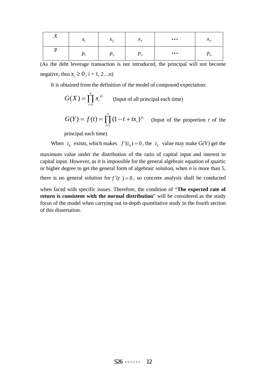| T            | $\sim$          | $\mathbf{r}$       | $\mathbf{A}$    | $\bullet\bullet\bullet$ | $\mathbf{z}$    |
|--------------|-----------------|--------------------|-----------------|-------------------------|-----------------|
| $\mathbf{A}$ | $\mathcal{N}_1$ | $\lambda_{\Omega}$ | $\mathcal{N}_2$ |                         | $\mathcal{N}_n$ |
|              | $\mathbf{r}$    |                    | $P_3$           | $\bullet\bullet\bullet$ | $r_n$           |

(As the debt leverage transaction is not introduced, the principal will not become negative, thus  $x_i \geq 0$ , i = 1, 2...n)

It is obtained from the definition of the model of compound expectation:

$$
G(X) = \prod_{i=1}^{n} x_i^{p_i}
$$
 (Input of all principal each time)

$$
G(Y) = f(t) = \prod_{i=1}^{n} (1 - t + tx_i)^{p_i}
$$
 (Input of the proportion *t* of the

principal each time)

When  $t_0$  exists, which makes  $f'(t_0) = 0$ , the  $t_0$  value may make G(Y) get the maximum value under the distribution of the ratio of capital input and interest to capital input. However, as it is impossible for the general algebraic equation of quartic or higher degree to get the general form of algebraic solution, when *n* is more than 5,

there is no general solution for  $f'(t) = 0$ , so concrete analysis shall be conducted

when faced with specific issues. Therefore, the condition of "**The expected rate of return is consistent with the normal distribution**" will be considered as the study focus of the model when carrying out in-depth quantitative study in the fourth section of this dissertation.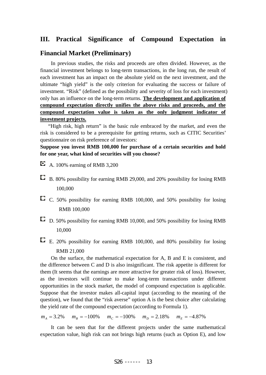# **III. Practical Significance of Compound Expectation in**

#### **Financial Market (Preliminary)**

In previous studies, the risks and proceeds are often divided. However, as the financial investment belongs to long-term transactions, in the long run, the result of each investment has an impact on the absolute yield on the next investment, and the ultimate "high yield" is the only criterion for evaluating the success or failure of investment. "Risk" (defined as the possibility and severity of loss for each investment) only has an influence on the long-term returns. **The development and application of compound expectation directly unifies the above risks and proceeds, and the compound expectation value is taken as the only judgment indicator of investment projects.**

"High risk, high return" is the basic rule embraced by the market, and even the risk is considered to be a prerequisite for getting returns, such as CITIC Securities' questionnaire on risk preference of investors:

**Suppose you invest RMB 100,000 for purchase of a certain securities and hold for one year, what kind of securities will you choose?** 

- $\blacksquare$  A. 100% earning of RMB 3.200
- B. 80% possibility for earning RMB 29,000, and 20% possibility for losing RMB 100,000
- $\Box$  C. 50% possibility for earning RMB 100,000, and 50% possibility for losing RMB 100,000
- D. 50% possibility for earning RMB 10,000, and 50% possibility for losing RMB 10,000
- E. 20% possibility for earning RMB 100,000, and 80% possibility for losing RMB 21,000

On the surface, the mathematical expectation for A, B and E is consistent, and the difference between C and D is also insignificant. The risk appetite is different for them (It seems that the earnings are more attractive for greater risk of loss). However, as the investors will continue to make long-term transactions under different opportunities in the stock market, the model of compound expectation is applicable. Suppose that the investor makes all-capital input (according to the meaning of the question), we found that the "risk averse" option A is the best choice after calculating the yield rate of the compound expectation (according to Formula 1).

 $m_A = 3.2\%$   $m_B = -100\%$   $m_C = -100\%$   $m_D = 2.18\%$   $m_E = -4.87\%$ 

It can be seen that for the different projects under the same mathematical expectation value, high risk can not brings high returns (such as Option E), and low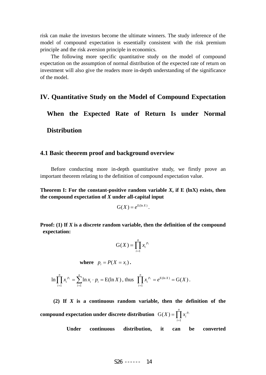risk can make the investors become the ultimate winners. The study inference of the model of compound expectation is essentially consistent with the risk premium principle and the risk aversion principle in economics.

The following more specific quantitative study on the model of compound expectation on the assumption of normal distribution of the expected rate of return on investment will also give the readers more in-depth understanding of the significance of the model.

#### **IV. Quantitative Study on the Model of Compound Expectation**

**When the Expected Rate of Return Is under Normal Distribution** 

#### **4.1 Basic theorem proof and background overview**

 Before conducting more in-depth quantitative study, we firstly prove an important theorem relating to the definition of compound expectation value.

**Theorem I:** For the constant-positive random variable  $X$ , if  $E$  (lnX) exists, then **the compound expectation of** *X* **under all-capital input** 

$$
G(X) = e^{E(\ln X)}.
$$

**Proof: (1) If** *X* **is a discrete random variable, then the definition of the compound expectation:** 

$$
\mathbf{G}(X) = \prod_{i=1}^{n} x_i^{p_i}
$$

where 
$$
p_i = P(X = x_i)
$$
.

$$
\ln \prod_{i=1}^n x_i^{p_i} = \sum_{i=1}^n \ln x_i \cdot p_i = E(\ln X), \text{ thus } \prod_{i=1}^n x_i^{p_i} = e^{E(\ln X)} = G(X).
$$

**(2) If** *X* **is a continuous random variable, then the definition of the compound expectation under discrete distribution**  $G(X) = \prod_{i=1}^{n}$  $\frac{n}{p}$  *p*  $G(X) = \prod x_i^{p_i}$ 

**Under continuous distribution, it can be converted** 

*i*

1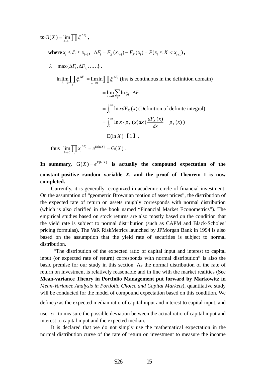**to**  $G(X) = \lim_{\lambda \to 0} \prod \xi_i^{\Delta}$ *i F*  $G(X) = \lim_{\lambda \to 0} \prod \xi_i^{\Delta F_i}$ ,

**where**  $x_i \leq \xi_i \leq x_{i+1}$ ,  $\Delta F_i = F_x(x_{i+1}) - F_y(x_i) = P(x_i \leq X \leq x_{i+1})$ ,

 $\lambda = \max{\{\Delta F_1, \Delta F_2, \ldots\}}$ .

 $\prod \xi_i^{\Delta F_i} = \lim_{\lambda \to 0} \ln \prod \xi_i^{\Delta}$ Δ  $\lim_{i \to 0} \prod \xi_i^{\Delta F_i} =$ *i F i i F*  $\lim_{\lambda\to 0} \prod \xi_i^{\Delta F_i} = \lim_{\lambda\to 0} \ln \prod \xi_i^{\Delta F_i}$  (lnx is continuous in the definition domain)

> $=\lim_{\lambda\to 0}\sum_{i}\ln \xi_{i}\cdot \Delta F_{i}$  $=\int_0^{+\infty} \ln x dF_x(x)$  (Definition of definite integral)  $=\int_0^{+\infty} \ln x \cdot p_X(x) dx$  ( $\frac{dF_X(x)}{dx} = p_X(x)$  $\frac{X^{(\lambda)}}{I} = p_X(x)$  $= E(\ln X)$   $[1]$ ,

thus  $\lim_{\lambda \to 0} \prod x_i^{\Delta F_i} = e^{E(\ln X)} = G(X)$ *i F*  $\lim_{\lambda \to 0} \prod x_i^{\Delta F_i} = e^{E(\ln X)} = G(X).$ 

In summary,  $G(X) = e^{E(\ln X)}$  is actually the compound expectation of the **constant-positive random variable** *X***, and the proof of Theorem I is now completed.**

Currently, it is generally recognized in academic circle of financial investment: On the assumption of "geometric Brownian motion of asset prices", the distribution of the expected rate of return on assets roughly corresponds with normal distribution (which is also clarified in the book named "Financial Market Econometrics"). The empirical studies based on stock returns are also mostly based on the condition that the yield rate is subject to normal distribution (such as CAPM and Black-Scholes' pricing formulas). The VaR RiskMetrics launched by JPMorgan Bank in 1994 is also based on the assumption that the yield rate of securities is subject to normal distribution.

 "The distribution of the expected ratio of capital input and interest to capital input (or expected rate of return) corresponds with normal distribution" is also the basic premise for our study in this section. As the normal distribution of the rate of return on investment is relatively reasonable and in line with the market realities (See **Mean-variance Theory in Portfolio Management put forward by Markowitz in**  *Mean-Variance Analysis in Portfolio Choice and Capital Markets*), quantitative study will be conducted for the model of compound expectation based on this condition. We

define  $\mu$  as the expected median ratio of capital input and interest to capital input, and

use  $\sigma$  to measure the possible deviation between the actual ratio of capital input and interest to capital input and the expected median.

It is declared that we do not simply use the mathematical expectation in the normal distribution curve of the rate of return on investment to measure the income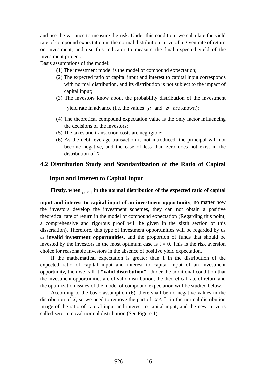and use the variance to measure the risk. Under this condition, we calculate the yield rate of compound expectation in the normal distribution curve of a given rate of return on investment, and use this indicator to measure the final expected yield of the investment project.

Basis assumptions of the model:

- (1) The investment model is the model of compound expectation;
- (2) The expected ratio of capital input and interest to capital input corresponds with normal distribution, and its distribution is not subject to the impact of capital input;
- (3) The investors know about the probability distribution of the investment

yield rate in advance (i.e. the values  $\mu$  and  $\sigma$  are known);

- (4) The theoretical compound expectation value is the only factor influencing the decisions of the investors;
- (5) The taxes and transaction costs are negligible;
- (6) As the debt leverage transaction is not introduced, the principal will not become negative, and the case of less than zero does not exist in the distribution of *X*.

### **4.2 Distribution Study and Standardization of the Ratio of Capital**

### **Input and Interest to Capital Input**

**Firstly, when**  $\mu$  < 1 in the normal distribution of the expected ratio of capital

**input and interest to capital input of an investment opportunity**, no matter how the investors develop the investment schemes, they can not obtain a positive theoretical rate of return in the model of compound expectation (Regarding this point, a comprehensive and rigorous proof will be given in the sixth section of this dissertation). Therefore, this type of investment opportunities will be regarded by us as **invalid investment opportunities**, and the proportion of funds that should be invested by the investors in the most optimum case is  $t = 0$ . This is the risk aversion choice for reasonable investors in the absence of positive yield expectation.

If the mathematical expectation is greater than 1 in the distribution of the expected ratio of capital input and interest to capital input of an investment opportunity, then we call it **"valid distribution"**. Under the additional condition that the investment opportunities are of valid distribution, the theoretical rate of return and the optimization issues of the model of compound expectation will be studied below.

According to the basic assumption (6), there shall be no negative values in the distribution of *X*, so we need to remove the part of  $x \le 0$  in the normal distribution image of the ratio of capital input and interest to capital input, and the new curve is called zero-removal normal distribution (See Figure 1).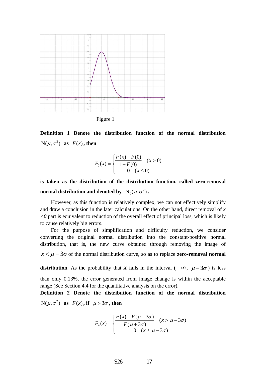

Figure 1

**Definition 1 Denote the distribution function of the normal distribution**   $N(\mu, \sigma^2)$  as  $F(x)$ , then

$$
F_0(x) = \begin{cases} \frac{F(x) - F(0)}{1 - F(0)} & (x > 0) \\ 0 & (x \le 0) \end{cases}
$$

**is taken as the distribution of the distribution function, called zero-removal normal distribution and denoted by**  $N_0(\mu, \sigma^2)$  .

However, as this function is relatively complex, we can not effectively simplify and draw a conclusion in the later calculations. On the other hand, direct removal of *x*   $\langle 0 \rangle$  part is equivalent to reduction of the overall effect of principal loss, which is likely to cause relatively big errors.

For the purpose of simplification and difficulty reduction, we consider converting the original normal distribution into the constant-positive normal distribution, that is, the new curve obtained through removing the image of  $x < \mu - 3\sigma$  of the normal distribution curve, so as to replace **zero-removal normal** 

**distribution**. As the probability that *X* falls in the interval ( $-\infty$ ,  $\mu - 3\sigma$ ) is less

than only 0.13%, the error generated from image change is within the acceptable range (See Section 4.4 for the quantitative analysis on the error).

**Definition 2 Denote the distribution function of the normal distribution**   $N(\mu, \sigma^2)$  as  $F(x)$ , if  $\mu > 3\sigma$ , then

$$
F_{+}(x) = \begin{cases} \frac{F(x) - F(\mu - 3\sigma)}{F(\mu + 3\sigma)} & (x > \mu - 3\sigma) \\ 0 & (x \le \mu - 3\sigma) \end{cases}
$$

$$
S26
$$
 --- 17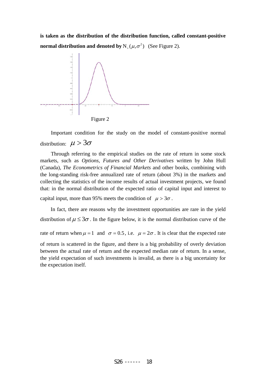**is taken as the distribution of the distribution function, called constant-positive normal distribution and denoted by**  $N_+(\mu, \sigma^2)$  (See Figure 2).



Important condition for the study on the model of constant-positive normal distribution:  $\mu > 3\sigma$ 

Through referring to the empirical studies on the rate of return in some stock markets, such as *Options, Futures and Other Derivatives* written by John Hull (Canada), *The Econometrics of Financial Markets* and other books, combining with the long-standing risk-free annualized rate of return (about 3%) in the markets and collecting the statistics of the income results of actual investment projects, we found that: in the normal distribution of the expected ratio of capital input and interest to

capital input, more than 95% meets the condition of  $\mu > 3\sigma$ .

In fact, there are reasons why the investment opportunities are rare in the yield distribution of  $\mu \leq 3\sigma$ . In the figure below, it is the normal distribution curve of the

rate of return when  $\mu = 1$  and  $\sigma = 0.5$ , i.e.  $\mu = 2\sigma$ . It is clear that the expected rate

of return is scattered in the figure, and there is a big probability of overly deviation between the actual rate of return and the expected median rate of return. In a sense, the yield expectation of such investments is invalid, as there is a big uncertainty for the expectation itself.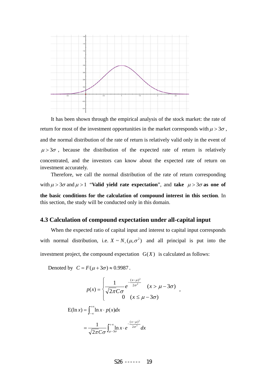

It has been shown through the empirical analysis of the stock market: the rate of return for most of the investment opportunities in the market corresponds with  $\mu > 3\sigma$ , and the normal distribution of the rate of return is relatively valid only in the event of  $\mu > 3\sigma$ , because the distribution of the expected rate of return is relatively concentrated, and the investors can know about the expected rate of return on investment accurately.

Therefore, we call the normal distribution of the rate of return corresponding with  $\mu > 3\sigma$  and  $\mu > 1$  "**Valid yield rate expectation**", and **take**  $\mu > 3\sigma$  as one of **the basic conditions for the calculation of compound interest in this section**. In this section, the study will be conducted only in this domain.

#### **4.3 Calculation of compound expectation under all-capital input**

When the expected ratio of capital input and interest to capital input corresponds with normal distribution, i.e.  $X \sim N_+(\mu, \sigma^2)$  and all principal is put into the investment project, the compound expectation  $G(X)$  is calculated as follows:

Denoted by  $C = F(\mu + 3\sigma) \approx 0.9987$ .

$$
p(x) = \begin{cases} \frac{1}{\sqrt{2\pi C\sigma}} e^{-\frac{(x-\mu)^2}{2\sigma^2}} & (x > \mu - 3\sigma) \\ 0 & (x \le \mu - 3\sigma) \end{cases}
$$

$$
E(\ln x) = \int_{-\infty}^{+\infty} \ln x \cdot p(x) dx
$$

$$
= \frac{1}{\sqrt{2\pi C\sigma}} \int_{\mu-3\sigma}^{+\infty} \ln x \cdot e^{-\frac{(x-\mu)^2}{2\sigma^2}} dx
$$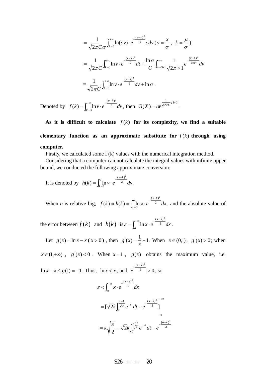$$
= \frac{1}{\sqrt{2\pi C}\sigma} \int_{k-3}^{+\infty} \ln(\sigma v) \cdot e^{-\frac{(v-k)^2}{2}} \sigma dv \ (v = \frac{x}{\sigma}, \ k = \frac{\mu}{\sigma})
$$
  

$$
= \frac{1}{\sqrt{2\pi C}} \int_{k-3}^{+\infty} \ln v \cdot e^{-\frac{(v-k)^2}{2}} dt + \frac{\ln \sigma}{C} \int_{k-3\times 1}^{+\infty} \frac{1}{\sqrt{2\pi} \times 1} e^{-\frac{(v-k)^2}{2\times 1^2}} dv
$$
  

$$
= \frac{1}{\sqrt{2\pi C}} \int_{k-3}^{+\infty} \ln v \cdot e^{-\frac{(v-k)^2}{2}} dv + \ln \sigma.
$$

Denoted by  $f(k) = \int_{k-3}^{+\infty}$ −  $-\frac{(v-1)}{2}$  $=\int_{k-3}$ ln v · e  $^2$  $(v-k)^2$  $(k) = \int_{k-3}^{\infty} \ln k$  $v-k$  $f(k) = \int_{0}^{+\infty} \ln v \cdot e^{-\frac{(v-k)^2}{2}} dv$ , then  $G(X) = \sigma e^{\frac{1}{\sqrt{2\pi}C}f(k)}$ 1  $G(X) = \sigma e^{\frac{1}{\sqrt{2\pi}C}f(k)}$ .

As it is difficult to calculate  $f(k)$  for its complexity, we find a suitable **elementary function as an approximate substitute for**  $f(k)$  through using **computer.**

Firstly, we calculated some f (k) values with the numerical integration method.

Considering that a computer can not calculate the integral values with infinite upper bound, we conducted the following approximate conversion:

It is denoted by  $h(k) = \int_{k-1}^{k-1} h(k) ds$  $=\int_{k-3}^{a} \ln v \cdot e^{-\frac{(v-3)}{2}}$ *kv*  $h(k) = \int_{k-3}^{k} \ln v \cdot e^{-2} dv$ 2  $(v-k)^2$  $(k) = \int_0^{\infty} \ln v \cdot e^{-2} dv$ .

When *a* is relative big,  $f(k) \approx h(k) = \int_{k-1}^{k} f(k)dk$  $\approx h(k) = \int_{k-3}^{a} \ln x \cdot e^{-\frac{(x-k)^2}{2}}$ *kx*  $f(k) \approx h(k) = \int_{k-3}^{k} \ln x \cdot e^{-2} dx$  $(x-k)^2$  $l(k) \approx h(k) = \int_0^{\infty} \ln x \cdot e^{-x^2} dx$ , and the absolute value of

the error between  $f(k)$  and  $h(k)$  is  $\varepsilon = \int_{k}^{k} f(k) \, dE$  $+\infty$  –  $\frac{(x =\int_a^{\infty} \ln x$ *kx*  $x \cdot e^2 dx$  $(x-k)^2$  $\varepsilon = \int \ln x \cdot e^{-x} dx$ .

Let  $g(x) = \ln x - x(x > 0)$ , then  $g'(x) = \frac{1}{x} - 1$ *x*  $g(x) = -1$ . When  $x \in (0,1)$ ,  $g(x) > 0$ ; when

 $x \in (1, +\infty)$ ,  $g'(x) < 0$ . When  $x = 1$ ,  $g(x)$  obtains the maximum value, i.e.

 $\ln x - x \le g(1) = -1$ . Thus,  $\ln x < x$ , and  $e^{2} > 0$  $(x-k)^2$ >  $-\frac{(x-k)}{k}$  $e^2 > 0$ , so

$$
\varepsilon < \int_{a}^{+\infty} x \cdot e^{-\frac{(x-k)^2}{2}} dx
$$
  
=  $\left[\sqrt{2k} \int_{0}^{\frac{x-k}{\sqrt{2}}} e^{-t^2} dt - e^{-\frac{(x-k)^2}{2}} \right]_{a}^{+\infty}$   
=  $k \sqrt{\frac{\pi}{2}} - \sqrt{2k} \int_{0}^{\frac{a-k}{\sqrt{2}}} e^{-t^2} dt - e^{-\frac{(a-k)^2}{2}}$ 

# S26 ------ 20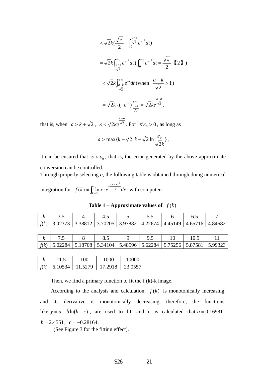$$
\langle \sqrt{2k} (\frac{\sqrt{\pi}}{2} - \int_0^{\frac{a-k}{\sqrt{2}}} e^{-t^2} dt )
$$
  
=  $\sqrt{2k} \int_{\frac{a-k}{\sqrt{2}}}^{\infty} e^{-t^2} dt (\int_0^{+\infty} e^{-t^2} dt = \frac{\sqrt{\pi}}{2} \quad [2] \quad )$   
<  $\langle \sqrt{2k} \int_{\frac{a-k}{\sqrt{2}}}^{+\infty} e^{-t} dt$  (when  $\frac{a-k}{\sqrt{2}} > 1$ )  
=  $\sqrt{2k} \cdot (-e^{-t}) \Big|_{\frac{a-k}{\sqrt{2}}}^{\infty} = \sqrt{2k} e^{\frac{k-a}{\sqrt{2}}},$ 

that is, when  $a > k + \sqrt{2}$ ,  $\varepsilon < \sqrt{2ke^{-2}}$  $k-a$ *ke* −  $\varepsilon < \sqrt{2ke^{\sqrt{2}}}$ . For  $\forall \varepsilon_0 > 0$ , as long as

$$
a > \max\{k + \sqrt{2}, k - \sqrt{2}\ln\frac{\varepsilon_0}{\sqrt{2k}}\},\
$$

it can be ensured that  $\varepsilon < \varepsilon_0$ , that is, the error generated by the above approximate conversion can be controlled.

Through properly selecting *a*, the following table is obtained through doing numerical

integration for  $f(k) \approx \int_{k-1}^{k-1}$  $\approx \int_{k-3}^{a} \ln x \cdot e^{-\frac{(x-3)x}{2}}$ *kx*  $f(k) \approx \int_{k-3}^{8} \ln x \cdot e^{-2} dx$  $(x-k)^2$  $(k) \approx \int_0^{\infty} \ln x \cdot e^{-x^2} dx$  with computer:

**Table 1 – Approximate values of**  $f(k)$ 

|  | f(k)   3.02373   3.38812   3.70205   3.97882   4.22674   4.45149   4.65716   4.84682 |  |  |  |
|--|--------------------------------------------------------------------------------------|--|--|--|

| f(k)   5.02284   5.18708   5.34104   5.48596   5.62284   5.75256   5.87581   5.99323 |  |  |  |  |
|--------------------------------------------------------------------------------------|--|--|--|--|

| Iz   |         | 00      | 1000    | 10000   |
|------|---------|---------|---------|---------|
| f(k) | 6.10534 | 11.5279 | 17.2918 | 23.0557 |

Then, we find a primary function to fit the  $f(k)$ -k image.

According to the analysis and calculation,  $f(k)$  is monotonically increasing, and its derivative is monotonically decreasing, therefore, the functions, like  $y = a + b \ln(k + c)$ , are used to fit, and it is calculated that  $a = 0.16981$ ,  $b = 2.4551$ ,  $c = -0.28164$ .

(See Figure 3 for the fitting effect).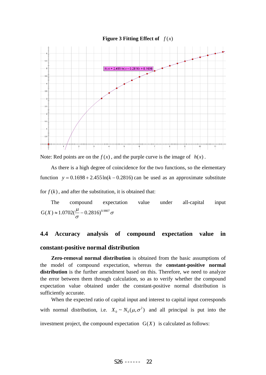

Note: Red points are on the  $f(x)$ , and the purple curve is the image of  $h(x)$ .

As there is a high degree of coincidence for the two functions, so the elementary function  $y = 0.1698 + 2.455 \ln(k - 0.2816)$  can be used as an approximate substitute

for  $f(k)$ , and after the substitution, it is obtained that:

The compound expectation value under all-capital input σ  $G(X) \approx 1.0702(\frac{\mu}{\sigma} - 0.2816)^{0.9807}$ 

# **4.4 Accuracy analysis of compound expectation value in constant-positive normal distribution**

**Zero-removal normal distribution** is obtained from the basic assumptions of the model of compound expectation, whereas the **constant-positive normal distribution** is the further amendment based on this. Therefore, we need to analyze the error between them through calculation, so as to verify whether the compound expectation value obtained under the constant-positive normal distribution is sufficiently accurate.

When the expected ratio of capital input and interest to capital input corresponds with normal distribution, i.e.  $X_0 \sim N_0(\mu, \sigma^2)$  and all principal is put into the investment project, the compound expectation  $G(X)$  is calculated as follows: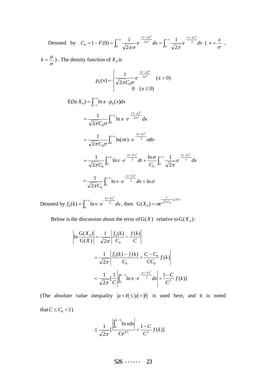Denoted by  $C_0 = 1 - F(0) = \int_0^\infty \frac{1}{\sqrt{2\pi}\sigma} e^{-2\sigma^2} dx = \int_0^\infty$  $+\infty$  1  $-\frac{(x-\mu)^2}{2}$   $e^{+\infty}$  1  $-\frac{(v-\mu)^2}{2}$  $=1-F(0)=\int_0^{\infty}\frac{1}{\sqrt{2\pi}\sigma}e^{-2\sigma^2} dx=\int_0^{\infty}\frac{1}{\sqrt{2\pi}}e^{-2\sigma^2}$  $(v-k)$  $\mathbf{0}$ 2  $(x-\mu)$  $\mathbf{0}$ 2 2 2 2 1 2  $C_0 = 1 - F(0) = \int_{0}^{+\infty} \frac{1}{\sqrt{u}} e^{-\frac{(x-\mu)^2}{2\sigma^2}} dx = \int_{0}^{+\infty} \frac{1}{\sqrt{u}} e^{-\frac{(y-\mu)^2}{2}} dv$ πσ νιαπ σ  $\int_{0}^{\mu} \frac{dv}{v^2} dv = \int_{0}^{+\infty} \frac{1}{\sqrt{2\pi}} e^{-\frac{(v-k)^2}{2}} dv \ \ (v = \frac{x}{\sigma})$  $v = \frac{x}{x}$ ,

 $k = \frac{\mu}{\sigma}$ ). The density function of  $X_0$  is

$$
p_0(x) = \begin{cases} \frac{1}{\sqrt{2\pi}C_0\sigma} e^{-\frac{(x-\mu)^2}{2\sigma^2}} & (x > 0) \\ 0 & (x \le 0) \end{cases}
$$

$$
E(\ln X_0) = \int_{-\infty}^{+\infty} \ln x \cdot p_0(x) dx
$$
  
\n
$$
= \frac{1}{\sqrt{2\pi}C_0\sigma} \int_0^{+\infty} \ln x \cdot e^{-\frac{(x-\mu)^2}{2\sigma^2}} dx
$$
  
\n
$$
= \frac{1}{\sqrt{2\pi}C_0\sigma} \int_0^{+\infty} \ln(\sigma v) \cdot e^{-\frac{(v-k)^2}{2}} \sigma dv
$$
  
\n
$$
= \frac{1}{\sqrt{2\pi}C_0} \int_0^{+\infty} \ln v \cdot e^{-\frac{(v-k)^2}{2}} dt + \frac{\ln \sigma}{C_0} \int_0^{+\infty} \frac{1}{\sqrt{2\pi}} e^{-\frac{(v-k)^2}{2}} dv
$$
  
\n
$$
= \frac{1}{\sqrt{2\pi}C_0} \int_0^{+\infty} \ln v \cdot e^{-\frac{(v-k)^2}{2}} dv + \ln \sigma
$$

Denoted by  $f_0(k) = \int_0^{\infty}$  $+\infty$   $-\frac{(v =\int_0^{\infty}$ ln v · e  $^2$  $(v-k)$  $\mathbf{0}$ 2  $f_0(k) = \int_0^{\infty} \ln v \cdot e^{-2} dv$ *kv* , then  $G(X_0) = \sigma e^{\frac{1}{\sqrt{2\pi}C_0}f_0(k)}$ 1 0  $G(X_0) = \sigma e^{\frac{1}{\sqrt{2\pi}C_0}f_0(k)}$ 

Below is the discussion about the error of  $G(X)$  relative to  $G(X_0)$ :

$$
\ln \frac{G(X_0)}{G(X)} = \frac{1}{\sqrt{2\pi}} \left| \frac{f_0(k)}{C_0} - \frac{f(k)}{C} \right|
$$
  
= 
$$
\frac{1}{\sqrt{2\pi}} \left| \frac{f_0(k) - f(k)}{C_0} + \frac{C - C_0}{CC_0} f(k) \right|
$$
  

$$
< \frac{1}{\sqrt{2\pi}} \left[ \frac{1}{C} \left| \int_0^{k-3} \ln x \cdot e^{-\frac{(x-k)^2}{2}} dx \right| + \frac{1-C}{C^2} f(k) \right]
$$

(The absolute value inequality  $|a+b| \le |a|+|b|$  is used here, and it is noted that  $C \leq C_0 < 1$ 

$$
\leq \frac{1}{\sqrt{2\pi}} \left[ \frac{\int_0^{k-3} \ln x dx}{C e^{4.5}} + \frac{1-C}{C^2} f(k) \right]
$$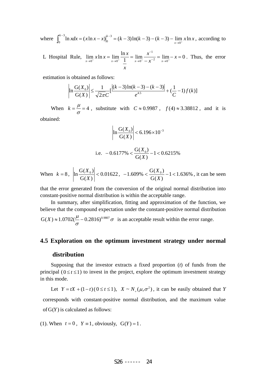where  $\int_0^{k-3} \ln x dx = (x \ln x - x) \Big|_0^{k-3} = (k-3) \ln(k-3) - (k-3) - \lim_{x \to 0^+} x \ln x$ 3 0 3 0  $x \to 0^+$  $\int_0^{k-3} \ln x dx = (x \ln x - x) \Big|_0^{k-3} = (k-3) \ln(k-3) - (k-3) - \lim_{x \to 0^+} x \ln x$ , according to

L Hospital Rule,  $\lim_{x \to 0^+} x \ln x = \lim_{x \to 0^+} \frac{\ln x}{1} = \lim_{x \to 0^+} \frac{x^{-1}}{-x^{-2}} = \lim_{x \to 0^+} -x = 0$ 1  $\lim_{x \to 0^+} x \ln x = \lim_{x \to 0^+} \frac{\ln x}{1} = \lim_{x \to 0^+} \frac{x}{-x^{-2}} = \lim_{x \to 0^+} -x =$ −  $\lim_{x\to 0^+} x \ln x = \lim_{x\to 0^+} \frac{\ln x}{1} = \lim_{x\to 0^+} \frac{x}{-x^{-2}} = \lim_{x\to 0^+} -x$ *x x x*  $\lim_{x \to 0^+} x \ln x = \lim_{x \to 0^+} \frac{\ln x}{1} = \lim_{x \to 0^+} \frac{x^{-1}}{-x^{-2}} = \lim_{x \to 0^+} -x = 0$ . Thus, the error

estimation is obtained as follows:

$$
\left|\ln \frac{G(X_0)}{G(X)}\right| \le \frac{1}{\sqrt{2\pi C}} \left[\frac{|(k-3)\ln(k-3)-(k-3)|}{e^{4.5}} + \left(\frac{1}{C} - 1\right)f(k)\right]
$$

When  $k = \frac{\mu}{\sigma} = 4$ , substitute with  $C \approx 0.9987$ ,  $f(4) \approx 3.38812$ , and it is obtained:

$$
\left| \ln \frac{G(X_0)}{G(X)} \right| < 6.196 \times 10^{-3}
$$

i.e. 
$$
-0.6177\% < \frac{G(X_0)}{G(X)} - 1 < 0.6215\%
$$

When  $k = 8$ ,  $\left| \ln \frac{S(X_0)}{S(X_0)} \right| < 0.01622$  $G(X)$  $\ln \frac{G(X_0)}{G(X)}$ *X*  $\left| \frac{X_0}{X_0} \right|$  < 0.01622, -1.609% <  $\frac{G(X_0)}{G(X_0)}$  -1 < 1.636%  $G(X)$  $-1.609\% < \frac{G(X_0)}{g(X_0)} - 1 <$ *X*  $\frac{X_0}{X}$  – 1 < 1.636%, it can be seen

that the error generated from the conversion of the original normal distribution into constant-positive normal distribution is within the acceptable range.

In summary, after simplification, fitting and approximation of the function, we believe that the compound expectation under the constant-positive normal distribution σ  $G(X) \approx 1.0702(\frac{\mu}{\sigma} - 0.2816)^{0.9807} \sigma$  is an acceptable result within the error range.

#### **4.5 Exploration on the optimum investment strategy under normal**

#### **distribution**

Supposing that the investor extracts a fixed proportion (*t*) of funds from the principal ( $0 \le t \le 1$ ) to invest in the project, explore the optimum investment strategy in this mode.

Let 
$$
Y = tX + (1-t)(0 \le t \le 1)
$$
,  $X \sim N_+(\mu, \sigma^2)$ , it can be easily obtained that Y corresponds with constant-positive normal distribution, and the maximum value of G(Y) is calculated as follows:

(1). When  $t = 0$ ,  $Y = 1$ , obviously,  $G(Y) = 1$ .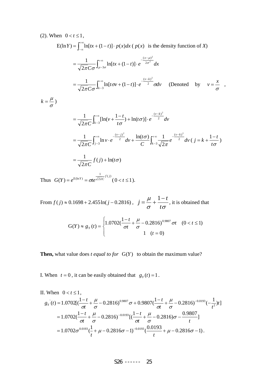(2). When 
$$
0 < t \le 1
$$
,  
\n
$$
E(\ln Y) = \int_{-\infty}^{+\infty} \ln [tx + (1-t)] \cdot p(x) dx \ (\ p(x) \text{ is the density function of } X)
$$
\n
$$
= \frac{1}{\sqrt{2\pi C \sigma}} \int_{\mu-3\sigma}^{+\infty} \ln [tx + (1-t)] \cdot e^{-\frac{(x-\mu)^2}{2\sigma^2}} dx
$$
\n
$$
= \frac{1}{\sqrt{2\pi C \sigma}} \int_{k-3}^{+\infty} \ln [t\sigma v + (1-t)] \cdot e^{-\frac{(v-k)^2}{2}} \sigma dv \ \ (\text{Denoted by } v = \frac{x}{\sigma},
$$
\n
$$
k = \frac{\mu}{\sigma}
$$
\n
$$
= \frac{1}{\sqrt{2\pi C}} \int_{k-3}^{+\infty} [\ln(v + \frac{1-t}{t\sigma}) + \ln(t\sigma)] \cdot e^{-\frac{(v-k)^2}{2}} dv
$$
\n
$$
= \frac{1}{\sqrt{2\pi C}} \int_{j-3}^{+\infty} \ln v \cdot e^{-\frac{(v-j)^2}{2}} dv + \frac{\ln(t\sigma)}{C} \int_{k-3}^{+\infty} \frac{1}{\sqrt{2\pi}} e^{-\frac{(v-k)^2}{2}} dv \ (\ j = k + \frac{1-t}{t\sigma})
$$
\n
$$
= \frac{1}{\sqrt{2\pi C}} f(j) + \ln(t\sigma)
$$

Thus  $G(Y) = e^{E(\ln Y)} = \sigma t e^{\frac{1}{\sqrt{2\pi}C}f(j)}$ 1  $G(Y) = e^{E(\ln Y)} = \sigma t e^{\frac{t}{\sqrt{2\pi}C}f(j)} (0 < t \le 1).$ 

From  $f(j) \approx 0.1698 + 2.455 \ln(j - 0.2816)$ , σσ μ *t*  $j = \frac{\mu}{\mu} + \frac{1 - t}{\tau}$ , it is obtained that

$$
G(Y) \approx g_Y(t) = \begin{cases} 1.0702(\frac{1-t}{\sigma t} + \frac{\mu}{\sigma} - 0.2816)^{0.9807} \sigma t & (0 < t \le 1) \\ 1 & (t = 0) \end{cases}
$$

**Then,** what value does *t equal to for*  $G(Y)$  to obtain the maximum value?

I. When  $t = 0$ , it can be easily obtained that  $g_Y(t) = 1$ .

II. When 
$$
0 < t \le 1
$$
,  
\n
$$
g_Y(t) = 1.0702[(\frac{1-t}{\sigma t} + \frac{\mu}{\sigma} - 0.2816)^{0.9807}\sigma + 0.9807(\frac{1-t}{\sigma t} + \frac{\mu}{\sigma} - 0.2816)^{-0.0193}(-\frac{1}{t^2})t]
$$
\n
$$
= 1.0702(\frac{1-t}{\sigma t} + \frac{\mu}{\sigma} - 0.2816)^{-0.0193}[(\frac{1-t}{\sigma t} + \frac{\mu}{\sigma} - 0.2816)\sigma - \frac{0.9807}{t}]
$$
\n
$$
= 1.0702\sigma^{0.0193}(\frac{1}{t} + \mu - 0.2816\sigma - 1)^{-0.0193}(\frac{0.0193}{t} + \mu - 0.2816\sigma - 1).
$$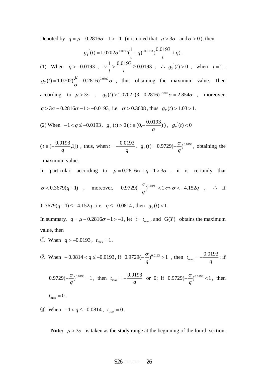Denoted by  $q = \mu - 0.2816\sigma - 1 > -1$  (it is noted that  $\mu > 3\sigma$  and  $\sigma > 0$ ), then

$$
g_Y(t) = 1.0702\sigma^{0.0193}(\frac{1}{t} + q)^{-0.0193}(\frac{0.0193}{t} + q).
$$
  
(1) When  $q > -0.0193$ ,  $\frac{1}{t} > \frac{0.0193}{t} \ge 0.0193$ ,  $\frac{1}{t} g_Y(t) > 0$ , when  $t = 1$ ,  $g_Y(t) = 1.0702(\frac{\mu}{\sigma} - 0.2816)^{0.9807} \sigma$ , thus obtaining the maximum value. Then  
according to  $\mu > 3\sigma$ ,  $g_Y(t) > 1.0702 \cdot (3 - 0.2816)^{0.9807} \sigma = 2.854\sigma$ , moreover,

 $q > 3\sigma - 0.2816\sigma - 1 > -0.0193$ , i.e.  $\sigma > 0.3608$ , thus  $g_Y(t) > 1.03 > 1$ .

(2) When 
$$
-1 < q \le -0.0193
$$
,  $g_Y(t) > 0$  ( $t \in (0, -\frac{0.0193}{q})$ ),  $g_Y(t) < 0$ 

$$
(t \in (-\frac{0.0193}{q}, 1])
$$
, thus, when  $t = -\frac{0.0193}{q}$ ,  $g_Y(t) = 0.9729(-\frac{\sigma}{q})^{0.0193}$ , obtaining the

maximum value.

In particular, according to  $\mu = 0.2816\sigma + q + 1 > 3\sigma$ , it is certainly that

$$
\sigma < 0.3679(q+1) \quad , \quad \text{moreover,} \quad 0.9729(-\frac{\sigma}{q})^{0.0193} < 1 \Leftrightarrow \sigma < -4.152q \quad , \quad \therefore \quad \text{If}
$$

$$
0.3679(q+1) \le -4.152q
$$
, i.e.  $q \le -0.0814$ , then  $gY(t) < 1$ .

In summary,  $q = \mu - 0.2816\sigma - 1 > -1$ , let  $t = t_{\text{max}}$ , and  $G(Y)$  obtains the maximum value, then

① When *q* > −0.0193, *t*<sub>max</sub> = 1.

20 When −0.0814 < q ≤ −0.0193, if 0.9729(−
$$
\frac{\sigma}{q}
$$
)<sup>0.0193</sup> > 1, then  $t_{\text{max}} = -\frac{0.0193}{q}$ ; if

$$
0.9729(-\frac{\sigma}{q})^{0.0193} = 1
$$
, then  $t_{\text{max}} = -\frac{0.0193}{q}$  or 0; if  $0.9729(-\frac{\sigma}{q})^{0.0193} < 1$ , then  $t_{\text{max}} = 0$ .

③ When  $-1 < q \le -0.0814$ ,  $t_{\text{max}} = 0$ .

**Note:**  $\mu > 3\sigma$  is taken as the study range at the beginning of the fourth section,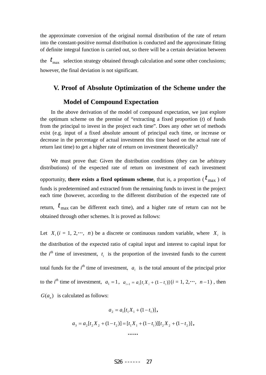the approximate conversion of the original normal distribution of the rate of return into the constant-positive normal distribution is conducted and the approximate fitting of definite integral function is carried out, so there will be a certain deviation between

the  $t_{\text{max}}$  selection strategy obtained through calculation and some other conclusions; however, the final deviation is not significant.

# **V. Proof of Absolute Optimization of the Scheme under the**

# **Model of Compound Expectation**

obtained through other schemes. It is proved as follows:

In the above derivation of the model of compound expectation, we just explore the optimum scheme on the premise of "extracting a fixed proportion (*t*) of funds from the principal to invest in the project each time". Does any other set of methods exist (e.g. input of a fixed absolute amount of principal each time, or increase or decrease in the percentage of actual investment this time based on the actual rate of return last time) to get a higher rate of return on investment theoretically?

We must prove that: Given the distribution conditions (they can be arbitrary distributions) of the expected rate of return on investment of each investment opportunity, **there exists a fixed optimum scheme**, that is, a proportion ( $t_{\text{max}}$  ) of funds is predetermined and extracted from the remaining funds to invest in the project each time (however, according to the different distribution of the expected rate of return,  $t_{\text{max}}$  can be different each time), and a higher rate of return can not be

Let  $X_i$  ( $i = 1, 2, \dots, n$ ) be a discrete or continuous random variable, where  $X_i$  is the distribution of the expected ratio of capital input and interest to capital input for the  $i^{th}$  time of investment,  $t_i$  is the proportion of the invested funds to the current total funds for the  $i<sup>th</sup>$  time of investment,  $a<sub>i</sub>$  is the total amount of the principal prior to the *i*<sup>th</sup> time of investment,  $a_1 = 1$ ,  $a_{i+1} = a_i[t_i X_i + (1-t_i)]$   $(i = 1, 2, ..., n-1)$ , then

 $G(a_n)$  is calculated as follows:

$$
a_2 = a_1[t_1X_1 + (1 - t_1)],
$$
  
\n
$$
a_3 = a_2[t_2X_2 + (1 - t_2)] = [t_1X_1 + (1 - t_1)][t_2X_2 + (1 - t_2)],
$$
  
\n...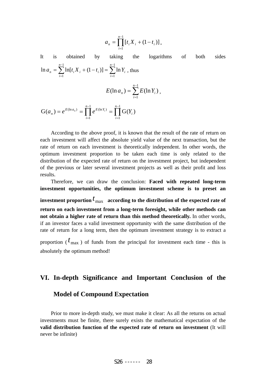$$
a_n = \prod_{i=1}^{n-1} [t_i X_i + (1 - t_i)].
$$

It is obtained by taking the logarithms of both sides  $\sum_{i=1}^{n-1} \ln[t_i X_i + (1 - t_i)] = \sum_{i=1}^{n-1}$ = − =  $=\sum \ln[t_i X_i + (1-t_i)] =$ 1 1 1 1  $\ln a_n = \sum \ln[t_i X_i + (1-t_i)] = \sum \ln$ *n i n i*  $a_n = \sum \ln[t_i X_i + (1 - t_i)] = \sum \ln Y_i$ , thus  $\sum^{n-1}$ = = 1 1  $(\ln a_n) = \sum E(\ln Y_i)$ *n i*  $E(\ln a_n) = \sum E(\ln Y_i),$  $\prod^{n-1} e^{E(\ln Y_i)} = \prod^{n-1}$ = − =  $= e^{E(\ln a_n)} = \prod e^{E(\ln Y_i)}$ 1 1 1 1  $G(a_n) = e^{E(\ln a_n)} = \prod^{n-1} e^{E(\ln Y_i)} = \prod^{n-1} G(Y_i)$ *i i n i*  $a_n$ ) =  $e^{E(\ln a_n)}$  =  $\prod e^{E(\ln Y_i)}$  =  $\prod G(Y_i)$ 

According to the above proof, it is known that the result of the rate of return on each investment will affect the absolute yield value of the next transaction, but the rate of return on each investment is theoretically independent. In other words, the optimum investment proportion to be taken each time is only related to the distribution of the expected rate of return on the investment project, but independent of the previous or later several investment projects as well as their profit and loss results.

Therefore, we can draw the conclusion: **Faced with repeated long-term investment opportunities, the optimum investment scheme is to preset an**  investment proportion  $t_{\text{max}}$  according to the distribution of the expected rate of **return on each investment from a long-term foresight, while other methods can not obtain a higher rate of return than this method theoretically.** In other words, if an investor faces a valid investment opportunity with the same distribution of the rate of return for a long term, then the optimum investment strategy is to extract a proportion ( $t_{\text{max}}$ ) of funds from the principal for investment each time - this is

absolutely the optimum method!

# **VI. In-depth Significance and Important Conclusion of the**

# **Model of Compound Expectation**

Prior to more in-depth study, we must make it clear: As all the returns on actual investments must be finite, there surely exists the mathematical expectation of the **valid distribution function of the expected rate of return on investment** (It will never be infinite)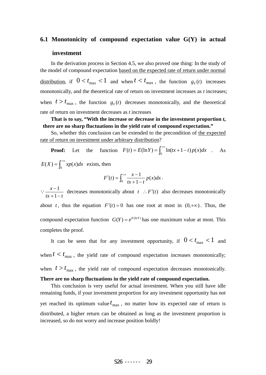#### **6.1 Monotonicity of compound expectation value G(Y) in actual**

#### **investment**

In the derivation process in Section 4.5, we also proved one thing: In the study of the model of compound expectation based on the expected rate of return under normal distribution, if  $0 < t_{\text{max}} < 1$  and when  $t < t_{\text{max}}$ , the function  $g_Y(t)$  increases monotonically, and the theoretical rate of return on investment increases as *t* increases; when  $t > t_{\text{max}}$ , the function  $g_y(t)$  decreases monotonically, and the theoretical rate of return on investment decreases as *t* increases

**That is to say, "With the increase or decrease in the investment proportion** *t***, there are no sharp fluctuations in the yield rate of compound expectation."**

So, whether this conclusion can be extended to the precondition of the expected rate of return on investment under arbitrary distribution?

**Proof:** Let the function  $F(t) = E(\ln Y) = \int_0^{+\infty} \ln(tx + 1 - t) p(x) dx$ . As  $E(X) = \int_0^{+\infty} x p(x) dx$  exists, then

$$
F'(t) = \int_0^{+\infty} \frac{x-1}{tx+1-t} p(x) dx.
$$

 $tx+1-t$ *x* −+ − 1  $\therefore$   $\frac{x-1}{x+1}$  decreases monotonically about *t* ∴ *F'*(*t*) also decreases monotonically about *t*, thus the equation  $F'(t) = 0$  has one root at most in  $(0, +\infty)$ . Thus, the compound expectation function  $G(Y) = e^{E(\ln Y)}$  has one maximum value at most. This completes the proof.

It can be seen that for any investment opportunity, if  $0 < t_{\text{max}} < 1$  and when  $t < t_{\text{max}}$ , the yield rate of compound expectation increases monotonically; when  $t > t_{\text{max}}$ , the yield rate of compound expectation decreases monotonically. **There are no sharp fluctuations in the yield rate of compound expectation.**

This conclusion is very useful for actual investment. When you still have idle remaining funds, if your investment proportion for any investment opportunity has not yet reached its optimum value  $t_{\text{max}}$ , no matter how its expected rate of return is distributed, a higher return can be obtained as long as the investment proportion is increased, so do not worry and increase position boldly!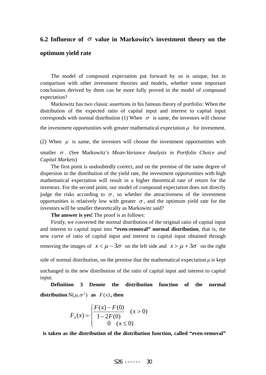# **6.2 Influence of** σ **value in Markowitz's investment theory on the**

### **optimum yield rate**

The model of compound expectation put forward by us is unique, but in comparison with other investment theories and models, whether some important conclusions derived by them can be more fully proved in the model of compound expectation?

Markowitz has two classic assertions in his famous theory of portfolio: When the distribution of the expected ratio of capital input and interest to capital input corresponds with normal distribution (1) When  $\sigma$  is same, the investors will choose

the investment opportunities with greater mathematical expectation  $\mu$  for investment.

(2) When  $\mu$  is same, the investors will choose the investment opportunities with

smaller <sup>σ</sup> . (See Markowitz's *Mean-Variance Analysis in Portfolio Choice and Capital Markets*)

The first point is undoubtedly correct, and on the premise of the same degree of dispersion in the distribution of the yield rate, the investment opportunities with high mathematical expectation will result in a higher theoretical rate of return for the investors. For the second point, our model of compound expectation does not directly judge the risks according to  $\sigma$ , so whether the attractiveness of the investment opportunities is relatively low with greater  $\sigma$ , and the optimum yield rate for the investors will be smaller theoretically as Markowitz said?

**The answer is yes!** The proof is as follows:

Firstly, we converted the normal distribution of the original ratio of capital input and interest to capital input into **"even-removal" normal distribution**, that is, the new curve of ratio of capital input and interest to capital input obtained through removing the images of  $x < \mu - 3\sigma$  on the left side and  $x > \mu + 3\sigma$  on the right

side of normal distribution, on the premise that the mathematical expectation  $\mu$  is kept

unchanged in the new distribution of the ratio of capital input and interest to capital input.

**Definition 3 Denote the distribution function of the normal distribution**  $N(\mu, \sigma^2)$  as  $F(x)$ , then

$$
F_{A}(x) = \begin{cases} \frac{F(x) - F(0)}{1 - 2F(0)} & (x > 0) \\ 0 & (x \le 0) \end{cases}
$$

**is taken as the distribution of the distribution function, called "even-removal"**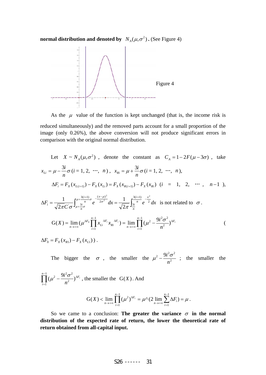**normal distribution and denoted by**  $N_A(\mu, \sigma^2)$ . (See Figure 4)



As the  $\mu$  value of the function is kept unchanged (that is, the income risk is

reduced simultaneously) and the removed parts account for a small proportion of the image (only 0.26%), the above conversion will not produce significant errors in comparison with the original normal distribution.

Let 
$$
X \sim N_A(\mu, \sigma^2)
$$
, denote the constant as  $C_A = 1 - 2F(\mu - 3\sigma)$ , take  
\n
$$
x_{Li} = \mu - \frac{3i}{n}\sigma (i = 1, 2, \cdots, n), \quad x_{R_i} = \mu + \frac{3i}{n}\sigma (i = 1, 2, \cdots, n),
$$
\n
$$
\Delta F_i = F_X(x_{L(i+1)}) - F_X(x_{Li}) = F_X(x_{R(i+1)}) - F_X(x_{Ri}) \quad (i = 1, 2, \cdots, n-1),
$$
\n
$$
\Delta F_i = \frac{1}{\sqrt{2\pi}C}\int_{\mu + \frac{3i}{n}\sigma}^{\mu + \frac{3(i+1)}{n}\sigma} e^{-\frac{(x-\mu)^2}{2\sigma^2}} dx = \frac{1}{\sqrt{2\pi}} \int_{\frac{3i}{n}}^{\frac{3(i+1)}{n}\sigma} e^{-\frac{x^2}{2}} dx
$$
 is not related to  $\sigma$ .  
\n
$$
G(X) = \lim_{n \to +\infty} (\mu^{\Delta F_0} \prod_{i=1}^{n-1} x_{Li}^{\Delta F_i} x_{Ri}^{\Delta F_i}) = \lim_{n \to +\infty} \prod_{i=1}^{n-1} (\mu^2 - \frac{9i^2\sigma^2}{n^2})^{\Delta F_i}
$$
\n
$$
\Delta F_0 = F_X(x_{R1}) - F_X(x_{L1})).
$$

The bigger the  $\sigma$ , the smaller the  $\mu^2 - \frac{\lambda^2 C}{r^2}$ 2  $9i^2\sigma^2$ *n*  $\mu^2 - \frac{9i^2 \sigma^2}{2}$ ; the smaller the

 $\prod^{n-1}$ =  $\int_0^1 (\mu^2 - \frac{9i^2\sigma^2}{2})^{\Delta}$  $\frac{1}{1}$ <sup>2</sup>  $\prod^{n-1}(\mu^2-\frac{9i^2\sigma^2}{2})$ *i Fi n*  $\mu^2 - \frac{9i^2 \sigma^2}{2}$ <sup> $\Delta F_i$ </sup>, the smaller the *G(X)*. And

$$
G(X) < \lim_{n\to+\infty}\prod_{i=1}^{n-1}(\mu^2)^{\Delta F_i} = \mu^{\wedge}(2\lim_{n\to+\infty}\sum_{i=1}^{n-1}\Delta F_i) = \mu.
$$

So we came to a conclusion: **The greater the variance**  $\sigma$  **in the normal distribution of the expected rate of return, the lower the theoretical rate of return obtained from all-capital input.**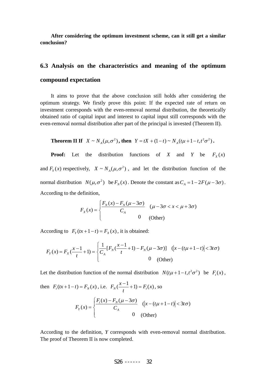**After considering the optimum investment scheme, can it still get a similar conclusion?** 

# **6.3 Analysis on the characteristics and meaning of the optimum compound expectation**

It aims to prove that the above conclusion still holds after considering the optimum strategy. We firstly prove this point: If the expected rate of return on investment corresponds with the even-removal normal distribution, the theoretically obtained ratio of capital input and interest to capital input still corresponds with the even-removal normal distribution after part of the principal is invested (Theorem II).

 **Theorem II If**  $X \sim N_A(\mu, \sigma^2)$ , then  $Y = tX + (1-t) \sim N_A(t\mu + 1 - t, t^2\sigma^2)$ .

**Proof:** Let the distribution functions of *X* and *Y* be  $F_x(x)$ and  $F_Y(x)$  respectively,  $X \sim N_A(\mu, \sigma^2)$ , and let the distribution function of the normal distribution  $N(\mu, \sigma^2)$  be  $F_N(x)$ . Denote the constant as  $C_A = 1 - 2F(\mu - 3\sigma)$ . According to the definition,

$$
F_X(x) = \begin{cases} \frac{F_N(x) - F_N(\mu - 3\sigma)}{C_A} & (\mu - 3\sigma < x < \mu + 3\sigma) \\ 0 & \text{(Other)} \end{cases}
$$

According to  $F_Y(tx+1-t) = F_X(x)$ , it is obtained:

$$
F_Y(x) = F_X(\frac{x-1}{t} + 1) = \begin{cases} \frac{1}{C_A} [F_N(\frac{x-1}{t} + 1) - F_N(\mu - 3\sigma)] & (\vert x - (t\mu + 1 - t) \vert < 3t\sigma) \\ 0 & \text{(Other)} \end{cases}
$$

Let the distribution function of the normal distribution  $N(t\mu + 1 - t, t^2\sigma^2)$  be  $F_r(x)$ ,

then 
$$
F_t(tx+1-t) = F_N(x)
$$
, i.e.  $F_N(\frac{x-1}{t}+1) = F_t(x)$ , so  

$$
F_Y(x) = \begin{cases} \frac{F_t(x) - F_N(\mu - 3\sigma)}{C_A} & (\vert x - (t\mu + 1 - t) \vert < 3t\sigma) \\ 0 & \text{(Other)} \end{cases}
$$

According to the definition, *Y* corresponds with even-removal normal distribution. The proof of Theorem II is now completed.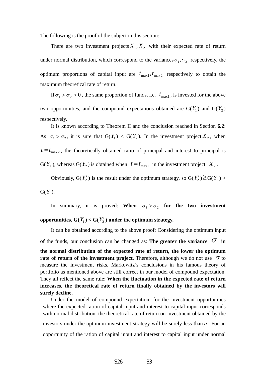The following is the proof of the subject in this section:

There are two investment projects  $X_1, X_2$  with their expected rate of return under normal distribution, which correspond to the variances  $\sigma_1, \sigma_2$  respectively, the optimum proportions of capital input are  $t_{\text{max1}}$ ,  $t_{\text{max2}}$  respectively to obtain the maximum theoretical rate of return.

If  $\sigma_1 > \sigma_2 > 0$ , the same proportion of funds, i.e.  $t_{\text{max1}}$ , is invested for the above two opportunities, and the compound expectations obtained are  $G(Y_1)$  and  $G(Y_2)$ respectively.

It is known according to Theorem II and the conclusion reached in Section **6.2**: As  $\sigma_1 > \sigma_2$ , it is sure that  $G(Y_1) < G(Y_2)$ . In the investment project  $X_2$ , when  $t = t_{\text{max }2}$ , the theoretically obtained ratio of principal and interest to principal is G( $Y'_2$ ), whereas G( $Y_2$ ) is obtained when  $t = t_{\text{max1}}$  in the investment project  $X_2$ .

Obviously,  $G(Y_2')$  is the result under the optimum strategy, so  $G(Y_2') \geq G(Y_2)$ 

 $G(Y_1)$ .

In summary, it is proved: **When**  $\sigma_1 > \sigma_2$  for the two investment opportunities,  $G(Y_1) < G(Y_2')$  under the optimum strategy.

It can be obtained according to the above proof: Considering the optimum input of the funds, our conclusion can be changed as: **The greater the variance**  $\sigma$  in **the normal distribution of the expected rate of return, the lower the optimum rate of return of the investment project**. Therefore, although we do not use  $\sigma$  to measure the investment risks, Markowitz's conclusions in his famous theory of portfolio as mentioned above are still correct in our model of compound expectation. They all reflect the same rule: **When the fluctuation in the expected rate of return increases, the theoretical rate of return finally obtained by the investors will surely decline.**

Under the model of compound expectation, for the investment opportunities where the expected ration of capital input and interest to capital input corresponds with normal distribution, the theoretical rate of return on investment obtained by the investors under the optimum investment strategy will be surely less than  $\mu$ . For an opportunity of the ration of capital input and interest to capital input under normal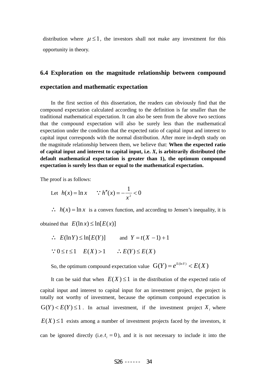distribution where  $\mu \leq 1$ , the investors shall not make any investment for this opportunity in theory.

# **6.4 Exploration on the magnitude relationship between compound expectation and mathematic expectation**

In the first section of this dissertation, the readers can obviously find that the compound expectation calculated according to the definition is far smaller than the traditional mathematical expectation. It can also be seen from the above two sections that the compound expectation will also be surely less than the mathematical expectation under the condition that the expected ratio of capital input and interest to capital input corresponds with the normal distribution. After more in-depth study on the magnitude relationship between them, we believe that: **When the expected ratio of capital input and interest to capital input, i.e.** *X***, is arbitrarily distributed (the default mathematical expectation is greater than 1), the optimum compound expectation is surely less than or equal to the mathematical expectation.**

The proof is as follows:

Let 
$$
h(x) = \ln x
$$
  $\therefore h''(x) = -\frac{1}{x^2} < 0$ 

 $\therefore$   $h(x) = \ln x$  is a convex function, and according to Jensen's inequality, it is

obtained that  $E(\ln x) \leq \ln[E(x)]$ 

 $\therefore$   $E(\ln Y) \le \ln[E(Y)]$  and  $Y = t(X - 1) + 1$  $\frac{1}{2}$   $\frac{1}{2}$   $\frac{1}{2}$   $\frac{1}{2}$   $\frac{1}{2}$   $\frac{1}{2}$   $\frac{1}{2}$   $\frac{1}{2}$   $\frac{1}{2}$   $\frac{1}{2}$   $\frac{1}{2}$   $\frac{1}{2}$   $\frac{1}{2}$   $\frac{1}{2}$ 

$$
\therefore 0 \leq t \leq 1 \quad E(X) > 1 \qquad \therefore E(Y) \leq E(X)
$$

So, the optimum compound expectation value  $G(Y) = e^{E(\ln Y)} \le E(X)$ 

It can be said that when  $E(X) \leq 1$  in the distribution of the expected ratio of capital input and interest to capital input for an investment project, the project is totally not worthy of investment, because the optimum compound expectation is  $G(Y) < E(Y) \le 1$ . In actual investment, if the investment project  $X_i$  where  $E(X) \leq 1$  exists among a number of investment projects faced by the investors, it can be ignored directly (i.e.  $t_i = 0$ ), and it is not necessary to include it into the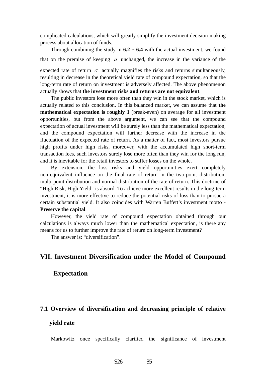complicated calculations, which will greatly simplify the investment decision-making process about allocation of funds.

Through combining the study in  $6.2 \sim 6.4$  with the actual investment, we found that on the premise of keeping  $\mu$  unchanged, the increase in the variance of the

expected rate of return  $\sigma$  actually magnifies the risks and returns simultaneously, resulting in decrease in the theoretical yield rate of compound expectation, so that the long-term rate of return on investment is adversely affected. The above phenomenon actually shows that **the investment risks and returns are not equivalent**.

The public investors lose more often than they win in the stock market, which is actually related to this conclusion. In this balanced market, we can assume that **the mathematical expectation is roughly 1** (break-even) on average for all investment opportunities, but from the above argument, we can see that the compound expectation of actual investment will be surely less than the mathematical expectation, and the compound expectation will further decrease with the increase in the fluctuation of the expected rate of return. As a matter of fact, most investors pursue high profits under high risks, moreover, with the accumulated high short-term transaction fees, such investors surely lose more often than they win for the long run, and it is inevitable for the retail investors to suffer losses on the whole.

By extension, the loss risks and yield opportunities exert completely non-equivalent influence on the final rate of return in the two-point distribution, multi-point distribution and normal distribution of the rate of return. This doctrine of "High Risk, High Yield" is absurd. To achieve more excellent results in the long-term investment, it is more effective to reduce the potential risks of loss than to pursue a certain substantial yield. It also coincides with Warren Buffett's investment motto - **Preserve the capital**.

However, the yield rate of compound expectation obtained through our calculations is always much lower than the mathematical expectation, is there any means for us to further improve the rate of return on long-term investment?

The answer is: "diversification".

# **VII. Investment Diversification under the Model of Compound**

#### **Expectation**

#### **7.1 Overview of diversification and decreasing principle of relative**

#### **yield rate**

Markowitz once specifically clarified the significance of investment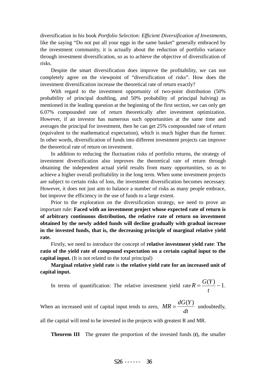diversification in his book *Portfolio Selection: Efficient Diversification of Investments*, like the saying "Do not put all your eggs in the same basket" generally embraced by the investment community, it is actually about the reduction of portfolio variance through investment diversification, so as to achieve the objective of diversification of risks.

Despite the smart diversification does improve the profitability, we can not completely agree on the viewpoint of "diversification of risks". How does the investment diversification increase the theoretical rate of return exactly?

With regard to the investment opportunity of two-point distribution (50% probability of principal doubling, and 50% probability of principal halving) as mentioned in the leading question at the beginning of the first section, we can only get 6.07% compounded rate of return theoretically after investment optimization. However, if an investor has numerous such opportunities at the same time and averages the principal for investment, then he can get 25% compounded rate of return (equivalent to the mathematical expectation), which is much higher than the former. In other words, diversification of funds into different investment projects can improve the theoretical rate of return on investment.

In addition to reducing the fluctuation risks of portfolio returns, the strategy of investment diversification also improves the theoretical rate of return through obtaining the independent actual yield results from many opportunities, so as to achieve a higher overall profitability in the long term. When some investment projects are subject to certain risks of loss, the investment diversification becomes necessary. However, it does not just aim to balance a number of risks as many people embrace, but improve the efficiency in the use of funds to a large extent.

Prior to the exploration on the diversification strategy, we need to prove an important rule: **Faced with an investment project whose expected rate of return is of arbitrary continuous distribution, the relative rate of return on investment obtained by the newly added funds will decline gradually with gradual increase in the invested funds, that is, the decreasing principle of marginal relative yield rate.**

Firstly, we need to introduce the concept of **relative investment yield rate**: **The ratio of the yield rate of compound expectation on a certain capital input to the capital input.** (It is not related to the total principal)

**Marginal relative yield rate** is **the relative yield rate for an increased unit of capital input.**

In terms of quantification: The relative investment yield rate  $R = \frac{G(Y)}{Y} - 1$  $=\frac{O(1)}{t}$  $R = \frac{G(Y)}{G(Y)} - 1$ .

When an increased unit of capital input tends to zero,  $MR = \frac{dC}{dt}$  $MR = \frac{dG(Y)}{dG(Y)}$  undoubtedly,

all the capital will tend to be invested in the projects with greatest R and MR.

**Theorem III** The greater the proportion of the invested funds (*t*), the smaller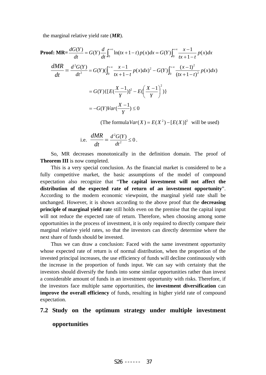the marginal relative yield rate (*MR*).

Proof: MR=
$$
\frac{dG(Y)}{dt}
$$
 =  $G(Y)\frac{d}{dt}\int_0^{+\infty}\ln(tx+1-t)p(x)dx = G(Y)\int_0^{+\infty}\frac{x-1}{tx+1-t}p(x)dx$   
\n
$$
\frac{dMR}{dt} = \frac{d^2G(Y)}{dt^2} = G(Y)(\int_0^{+\infty}\frac{x-1}{tx+1-t}p(x)dx)^2 - G(Y)\int_0^{+\infty}\frac{(x-1)^2}{(tx+1-t)^2}p(x)dx
$$
\n
$$
= G(Y)\{[E(\frac{X-1}{Y})]^2 - E(\frac{X-1}{Y})^2\}
$$
\n
$$
= -G(Y)Var(\frac{X-1}{Y}) \le 0
$$

(The formula  $Var(X) = E(X^2) - [E(X)]^2$  will be used)

i.e. 
$$
\frac{dMR}{dt} = \frac{d^2G(Y)}{dt^2} \le 0.
$$

So, MR decreases monotonically in the definition domain. The proof of **Theorem III** is now completed.

This is a very special conclusion. As the financial market is considered to be a fully competitive market, the basic assumptions of the model of compound expectation also recognize that "**The capital investment will not affect the distribution of the expected rate of return of an investment opportunity**". According to the modern economic viewpoint, the marginal yield rate shall be unchanged. However, it is shown according to the above proof that the **decreasing principle of marginal yield rat**e still holds even on the premise that the capital input will not reduce the expected rate of return. Therefore, when choosing among some opportunities in the process of investment, it is only required to directly compare their marginal relative yield rates, so that the investors can directly determine where the next share of funds should be invested.

Thus we can draw a conclusion: Faced with the same investment opportunity whose expected rate of return is of normal distribution, when the proportion of the invested principal increases, the use efficiency of funds will decline continuously with the increase in the proportion of funds input. We can say with certainty that the investors should diversify the funds into some similar opportunities rather than invest a considerable amount of funds in an investment opportunity with risks. Therefore, if the investors face multiple same opportunities, the **investment diversification** can **improve the overall efficiency** of funds, resulting in higher yield rate of compound expectation.

#### **7.2 Study on the optimum strategy under multiple investment**

#### **opportunities**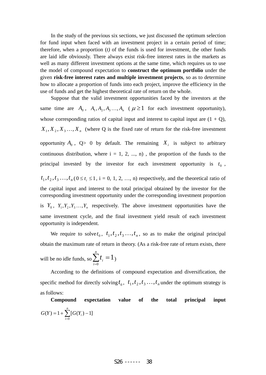In the study of the previous six sections, we just discussed the optimum selection for fund input when faced with an investment project in a certain period of time; therefore, when a proportion (*t)* of the funds is used for investment, the other funds are laid idle obviously. There always exist risk-free interest rates in the markets as well as many different investment options at the same time, which requires us to use the model of compound expectation to **construct the optimum portfolio** under the given **risk-free interest rates and multiple investment projects**, so as to determine how to allocate a proportion of funds into each project, improve the efficiency in the use of funds and get the highest theoretical rate of return on the whole.

Suppose that the valid investment opportunities faced by the investors at the same time are  $A_0$ ,  $A_1, A_2, A_3, \ldots, A_n$  ( $\mu \ge 1$  for each investment opportunity), whose corresponding ratios of capital input and interest to capital input are  $(1 + Q)$ ,  $X_1, X_2, X_3, \ldots, X_n$  (where Q is the fixed rate of return for the risk-free investment

opportunity  $A_0$ ,  $Q > 0$  by default. The remaining  $X_i$  is subject to arbitrary continuous distribution, where  $i = 1, 2, ..., n$ , the proportion of the funds to the principal invested by the investor for each investment opportunity is  $t_0$ ,

 $t_1, t_2, t_3, \ldots, t_n$  ( $0 \le t_i \le 1$ , i = 0, 1, 2, …, n) respectively, and the theoretical ratio of the capital input and interest to the total principal obtained by the investor for the corresponding investment opportunity under the corresponding investment proportion is  $Y_0$ ,  $Y_1, Y_2, Y_3, \ldots, Y_n$  respectively. The above investment opportunities have the same investment cycle, and the final investment yield result of each investment opportunity is independent.

We require to solve  $t_0$ ,  $t_1, t_2, t_3, \ldots, t_n$ , so as to make the original principal obtain the maximum rate of return in theory. (As a risk-free rate of return exists, there

will be no idle funds, so  $\sum t_i = 1$  $\sum_{i=0}^n t_i =$ *i*  $t_i = 1$ 

According to the definitions of compound expectation and diversification, the specific method for directly solving  $t_0$ ,  $t_1, t_2, t_3, \ldots, t_n$  under the optimum strategy is as follows:

**Compound expectation value of the total principal input**   $=1+\sum_{i=0}^{n} [G(Y_i)$ *i*  $G(Y) = 1 + \sum [G(Y_i)]$  $\boldsymbol{0}$  $(Y)=1+\sum [G(Y_i)-1]$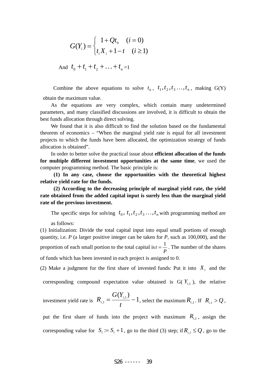$$
G(Y_i) = \begin{cases} 1 + Qt_0 & (i = 0) \\ t_i X_i + 1 - t & (i \ge 1) \end{cases}
$$

And  $t_0 + t_1 + t_2 + \ldots + t_n = 1$ 

Combine the above equations to solve  $t_0$ ,  $t_1, t_2, t_3, \ldots, t_n$ , making G(Y) obtain the maximum value.

As the equations are very complex, which contain many undetermined parameters, and many classified discussions are involved, it is difficult to obtain the best funds allocation through direct solving.

We found that it is also difficult to find the solution based on the fundamental theorem of economics – "When the marginal yield rate is equal for all investment projects to which the funds have been allocated, the optimization strategy of funds allocation is obtained".

In order to better solve the practical issue about **efficient allocation of the funds for multiple different investment opportunities at the same time**, we used the computer programming method. The basic principle is:

 **(1) In any case, choose the opportunities with the theoretical highest relative yield rate for the funds.** 

 **(2) According to the decreasing principle of marginal yield rate, the yield rate obtained from the added capital input is surely less than the marginal yield rate of the previous investment.**

The specific steps for solving  $t_0, t_1, t_2, t_3, \ldots, t_n$  with programming method are

as follows:

(1) Initialization: Divide the total capital input into equal small portions of enough quantity, i.e. *P* (a larger positive integer can be taken for *P*, such as 100,000), and the proportion of each small portion to the total capital is  $t = \frac{1}{P}$ . The number of the shares of funds which has been invested in each project is assigned to 0.

(2) Make a judgment for the first share of invested funds: Put it into  $X_i$  and the corresponding compound expectation value obtained is  $G(Y_{i,1})$ , the relative

investment yield rate is 
$$
R_{i,1} = \frac{G(Y_{i,1})}{t} - 1
$$
, select the maximum  $R_{i,1}$ . If  $R_{i,1} > Q$ ,

put the first share of funds into the project with maximum  $R_{i,1}$ , assign the corresponding value for  $S_i := S_i + 1$ , go to the third (3) step; if  $R_{i,1} \le Q$ , go to the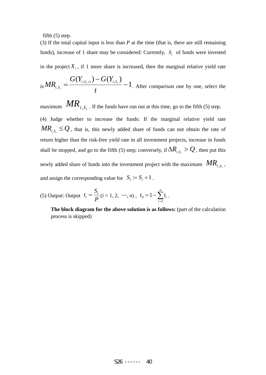fifth  $(5)$  step.

(3) If the total capital input is less than *P* at the time (that is, there are still remaining funds), increase of 1 share may be considered: Currently, *S<sub>i</sub>* of funds were invested in the project  $X_i$ , if 1 more share is increased, then the marginal relative yield rate

is 
$$
MR_{i,S_i} = \frac{G(Y_{i,S_i+1}) - G(Y_{i,S_i})}{t} - 1
$$
. After comparison one by one, select the

maximum  $MR_{i, S_i}$ . If the funds have run out at this time, go to the fifth (5) step. (4) Judge whether to increase the funds: If the marginal relative yield rate  $MR_{i, S_i} \leq Q$ , that is, this newly added share of funds can not obtain the rate of return higher than the risk-free yield rate in all investment projects, increase in funds shall be stopped, and go to the fifth (5) step; conversely, if  $\Delta R_{i, S_i} > Q$ , then put this newly added share of funds into the investment project with the maximum  $MR_{i, S_i}$ , and assign the corresponding value for  $S_i := S_i + 1$ .

(5) Output: Output 
$$
t_i = \frac{S_i}{P}(i = 1, 2, \dots, n), t_0 = 1 - \sum_{i=1}^{n} t_i
$$
.

**The block diagram for the above solution is as follows:** (part of the calculation process is skipped)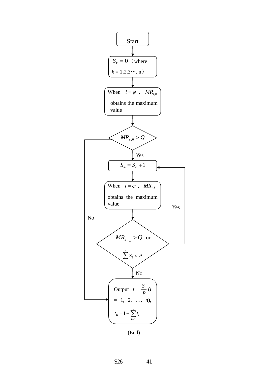

(End)